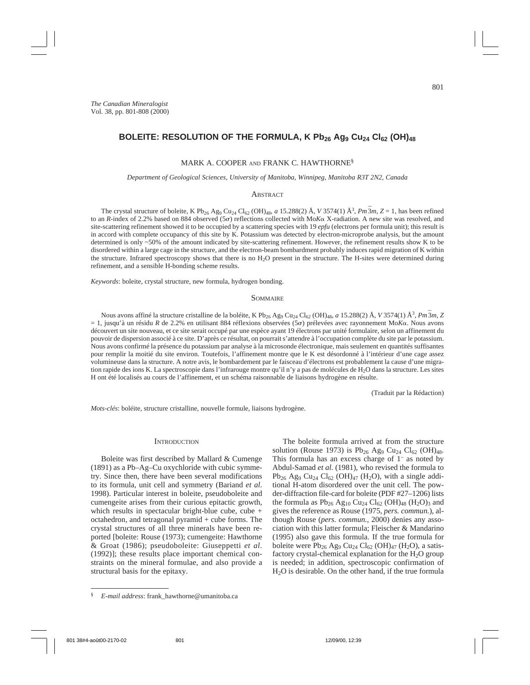# BOLEITE: RESOLUTION OF THE FORMULA, K Pb<sub>26</sub> Ag<sub>9</sub> Cu<sub>24</sub> Cl<sub>62</sub> (OH)<sub>48</sub>

#### MARK A. COOPER AND FRANK C. HAWTHORNE§

#### *Department of Geological Sciences, University of Manitoba, Winnipeg, Manitoba R3T 2N2, Canada*

#### **ABSTRACT**

The crystal structure of boleite, K Pb<sub>26</sub> Ag<sub>9</sub> Cu<sub>24</sub> Cl<sub>62</sub> (OH)<sub>48</sub>, *a* 15.288(2) Å, *V* 3574(1) Å<sup>3</sup>, *Pm*<sup>3</sup>*m*, *Z* = 1, has been refined to an *R*-index of 2.2% based on 884 observed (5 $\sigma$ ) reflections collected with Mo*K* $\alpha$  X-radiation. A new site was resolved, and site-scattering refinement showed it to be occupied by a scattering species with 19 *epfu* (electrons per formula unit); this result is in accord with complete occupancy of this site by K. Potassium was detected by electron-microprobe analysis, but the amount determined is only ~50% of the amount indicated by site-scattering refinement. However, the refinement results show K to be disordered within a large cage in the structure, and the electron-beam bombardment probably induces rapid migration of K within the structure. Infrared spectroscopy shows that there is no H2O present in the structure. The H-sites were determined during refinement, and a sensible H-bonding scheme results.

*Keywords*: boleite, crystal structure, new formula, hydrogen bonding.

#### **SOMMAIRE**

Nous avons affiné la structure cristalline de la boléite, K Pb<sub>26</sub> Ag<sub>9</sub> Cu<sub>24</sub> Cl<sub>62</sub> (OH)<sub>48</sub>, *a* 15.288(2) Å, V 3574(1) Å<sup>3</sup>, *Pm* 3*m*, Z  $= 1$ , jusqu'à un résidu *R* de 2.2% en utilisant 884 réflexions observées (5 $\sigma$ ) prélevées avec rayonnement Mo*K* $\alpha$ . Nous avons découvert un site nouveau, et ce site serait occupé par une espèce ayant 19 électrons par unité formulaire, selon un affinement du pouvoir de dispersion associé à ce site. D'après ce résultat, on pourrait s'attendre à l'occupation complète du site par le potassium. Nous avons confirmé la présence du potassium par analyse à la microsonde électronique, mais seulement en quantités suffisantes pour remplir la moitié du site environ. Toutefois, l'affinement montre que le K est désordonné à l'intérieur d'une cage assez volumineuse dans la structure. A notre avis, le bombardement par le faisceau d'électrons est probablement la cause d'une migration rapide des ions K. La spectroscopie dans l'infrarouge montre qu'il n'y a pas de molécules de H<sub>2</sub>O dans la structure. Les sites H ont été localisés au cours de l'affinement, et un schéma raisonnable de liaisons hydrogène en résulte.

(Traduit par la Rédaction)

*Mots-clés*: boléite, structure cristalline, nouvelle formule, liaisons hydrogène.

#### **INTRODUCTION**

Boleite was first described by Mallard & Cumenge (1891) as a Pb–Ag–Cu oxychloride with cubic symmetry. Since then, there have been several modifications to its formula, unit cell and symmetry (Bariand *et al*. 1998). Particular interest in boleite, pseudoboleite and cumengeite arises from their curious epitactic growth, which results in spectacular bright-blue cube, cube + octahedron, and tetragonal pyramid + cube forms. The crystal structures of all three minerals have been reported [boleite: Rouse (1973); cumengeite: Hawthorne & Groat (1986); pseudoboleite: Giuseppetti *et al.* (1992)]; these results place important chemical constraints on the mineral formulae, and also provide a structural basis for the epitaxy.

The boleite formula arrived at from the structure solution (Rouse 1973) is  $Pb_{26}$  Ag<sub>9</sub> Cu<sub>24</sub> Cl<sub>62</sub> (OH)<sub>48</sub>.

This formula has an excess charge of  $1<sup>-</sup>$  as noted by Abdul-Samad *et al*. (1981), who revised the formula to  $Pb_{26}$  Ag<sub>9</sub> Cu<sub>24</sub> Cl<sub>62</sub> (OH)<sub>47</sub> (H<sub>2</sub>O), with a single additional H-atom disordered over the unit cell. The powder-diffraction file-card for boleite (PDF #27–1206) lists the formula as  $Pb_{26}$  Ag<sub>10</sub> Cu<sub>24</sub> Cl<sub>62</sub> (OH)<sub>48</sub> (H<sub>2</sub>O)<sub>3</sub> and gives the reference as Rouse (1975, *pers. commun.*), although Rouse (*pers. commun.,* 2000) denies any association with this latter formula; Fleischer & Mandarino (1995) also gave this formula. If the true formula for boleite were Pb<sub>26</sub> Ag<sub>9</sub> Cu<sub>24</sub> Cl<sub>62</sub> (OH)<sub>47</sub> (H<sub>2</sub>O), a satisfactory crystal-chemical explanation for the  $H_2O$  group is needed; in addition, spectroscopic confirmation of  $H<sub>2</sub>O$  is desirable. On the other hand, if the true formula

<sup>§</sup> *E-mail address*: frank\_hawthorne@umanitoba.ca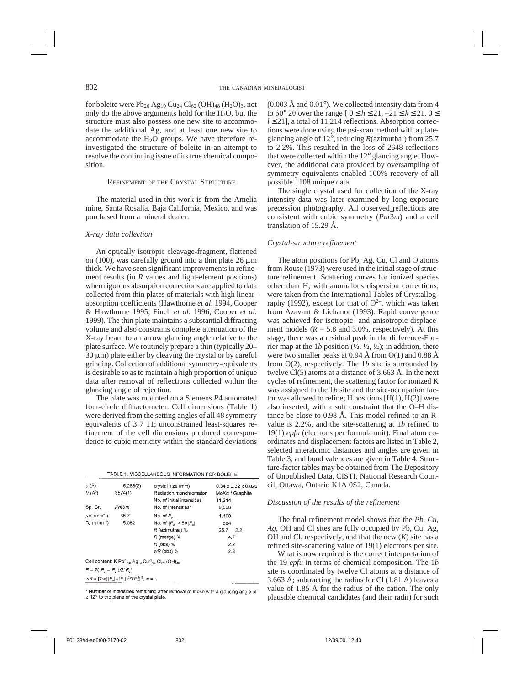for boleite were  $Pb_{26}$  Ag<sub>10</sub> Cu<sub>24</sub> Cl<sub>62</sub> (OH)<sub>48</sub> (H<sub>2</sub>O)<sub>3</sub>, not only do the above arguments hold for the  $H_2O$ , but the structure must also possess one new site to accommodate the additional Ag, and at least one new site to accommodate the  $H_2O$  groups. We have therefore reinvestigated the structure of boleite in an attempt to resolve the continuing issue of its true chemical composition.

## REFINEMENT OF THE CRYSTAL STRUCTURE

The material used in this work is from the Amelia mine, Santa Rosalia, Baja California, Mexico, and was purchased from a mineral dealer.

#### *X-ray data collection*

An optically isotropic cleavage-fragment, flattened on (100), was carefully ground into a thin plate 26  $\mu$ m thick. We have seen significant improvements in refinement results (in *R* values and light-element positions) when rigorous absorption corrections are applied to data collected from thin plates of materials with high linearabsorption coefficients (Hawthorne *et al*. 1994, Cooper & Hawthorne 1995, Finch *et al*. 1996, Cooper *et al.* 1999). The thin plate maintains a substantial diffracting volume and also constrains complete attenuation of the X-ray beam to a narrow glancing angle relative to the plate surface. We routinely prepare a thin (typically 20–  $30 \mu m$ ) plate either by cleaving the crystal or by careful grinding. Collection of additional symmetry-equivalents is desirable so as to maintain a high proportion of unique data after removal of reflections collected within the glancing angle of rejection.

The plate was mounted on a Siemens *P*4 automated four-circle diffractometer. Cell dimensions (Table 1) were derived from the setting angles of all 48 symmetry equivalents of 3 7 11; unconstrained least-squares refinement of the cell dimensions produced correspondence to cubic metricity within the standard deviations

| TABLE 1. MISCELLANEOUS INFORMATION FOR BOLEITE |  |  |  |  |
|------------------------------------------------|--|--|--|--|
|                                                |  |  |  |  |

| a (Å)                                 | 15.288(2)                                                                                                                                      | crystal size (mm)             | $0.34 \times 0.32 \times 0.026$ |
|---------------------------------------|------------------------------------------------------------------------------------------------------------------------------------------------|-------------------------------|---------------------------------|
| $V(\AA^3)$                            | 3574(1)                                                                                                                                        | Radiation/monchromator        | Mo <i>Kα</i> / Graphite         |
|                                       |                                                                                                                                                | No. of initial intensities    | 11.214                          |
| Sp. Gr.                               | Pm3m                                                                                                                                           | No. of intensities*           | 8.566                           |
| $\mu$ m (mm <sup>-1</sup> )           | 36.7                                                                                                                                           | No. of $F_{\rm o}$            | 1.108                           |
| $D_{c}$ (q.cm <sup>-3</sup> )         | 5.082                                                                                                                                          | No. of $ F_n  > 5\sigma F_n $ | 884                             |
|                                       |                                                                                                                                                | R (azimuthal) %               | $25.7 \rightarrow 2.2$          |
|                                       |                                                                                                                                                | R (merge) %                   | 4.7                             |
|                                       |                                                                                                                                                | $R$ (obs) %                   | 2.2                             |
|                                       |                                                                                                                                                | $wR$ (obs) %                  | 2.3                             |
|                                       | Cell content: K Pb <sup>2+</sup> <sub>26</sub> Ag <sup>+</sup> <sub>3</sub> Cu <sup>2+</sup> <sub>24</sub> Cl <sub>82</sub> (OH) <sub>49</sub> |                               |                                 |
| $R = \Sigma( F_n - F_n )/\Sigma F_n $ |                                                                                                                                                |                               |                                 |
|                                       | $wR = [\Sigma w( F_{s} - F_{s} )^{2}/\Sigma F_{s}^{2}]^{x}$ , $w = 1$                                                                          |                               |                                 |

\* Number of intensities remaining after removal of those with a glancing angle of ≤ 12° to the plane of the crystal plate.

 $(0.003 \text{ Å}$  and  $0.01^{\circ})$ . We collected intensity data from 4 to 60° 20 over the range  $[0 \le h \le 21, -21 \le k \le 21, 0 \le k \le 21]$ *l* ≤ 21], a total of 11,214 reflections. Absorption corrections were done using the psi-scan method with a plateglancing angle of 12°, reducing *R*(azimuthal) from 25.7 to 2.2%. This resulted in the loss of 2648 reflections that were collected within the 12° glancing angle. However, the additional data provided by oversampling of symmetry equivalents enabled 100% recovery of all possible 1108 unique data.

The single crystal used for collection of the X-ray intensity data was later examined by long-exposure precession photography. All observed reflections are consistent with cubic symmetry  $(Pm\bar{3}m)$  and a cell translation of 15.29 Å.

### *Crystal-structure refinement*

The atom positions for Pb, Ag, Cu, Cl and O atoms from Rouse (1973) were used in the initial stage of structure refinement. Scattering curves for ionized species other than H, with anomalous dispersion corrections, were taken from the International Tables of Crystallography (1992), except for that of  $O^{2-}$ , which was taken from Azavant & Lichanot (1993). Rapid convergence was achieved for isotropic- and anisotropic-displacement models ( $R = 5.8$  and 3.0%, respectively). At this stage, there was a residual peak in the difference-Fourier map at the 1*b* position  $(1/2, 1/2, 1/2)$ ; in addition, there were two smaller peaks at 0.94 Å from  $O(1)$  and 0.88 Å from O(2), respectively. The 1*b* site is surrounded by twelve Cl(5) atoms at a distance of 3.663 Å. In the next cycles of refinement, the scattering factor for ionized K was assigned to the 1*b* site and the site-occupation factor was allowed to refine; H positions  $[H(1), H(2)]$  were also inserted, with a soft constraint that the O–H distance be close to 0.98 Å. This model refined to an Rvalue is 2.2%, and the site-scattering at 1*b* refined to 19(1) *epfu* (electrons per formula unit). Final atom coordinates and displacement factors are listed in Table 2, selected interatomic distances and angles are given in Table 3, and bond valences are given in Table 4. Structure-factor tables may be obtained from The Depository of Unpublished Data, CISTI, National Research Council, Ottawa, Ontario K1A 0S2, Canada.

### *Discussion of the results of the refinement*

The final refinement model shows that the *Pb*, *Cu*, *Ag*, OH and Cl sites are fully occupied by Pb, Cu, Ag, OH and Cl, respectively, and that the new (*K*) site has a refined site-scattering value of 19(1) electrons per site.

What is now required is the correct interpretation of the 19 *epfu* in terms of chemical composition. The 1*b* site is coordinated by twelve Cl atoms at a distance of 3.663 Å; subtracting the radius for Cl  $(1.81 \text{ Å})$  leaves a value of 1.85 Å for the radius of the cation. The only plausible chemical candidates (and their radii) for such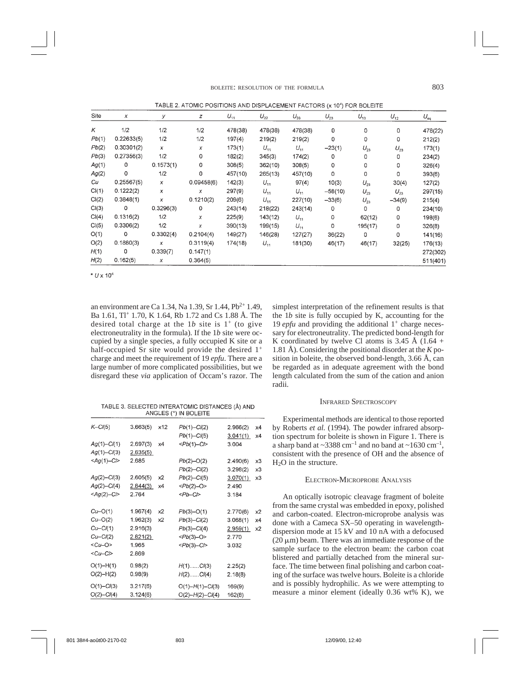TABLE 2. ATOMIC POSITIONS AND DISPLACEMENT FACTORS (x 10<sup>4</sup>) FOR BOLEITE

| Site  | X          | У         | z          | $U_{11}$ | $U_{22}$ | $U_{33}$ | $U_{23}$  | $U_{13}$ | $U_{12}$ | $U_{\rm eq}$ |
|-------|------------|-----------|------------|----------|----------|----------|-----------|----------|----------|--------------|
| Κ     | 1/2        | 1/2       | 1/2        | 478(38)  | 478(38)  | 478(38)  | 0         | 0        | 0        | 478(22)      |
| Pb(1) | 0.22633(5) | 1/2       | 1/2        | 197(4)   | 219(2)   | 219(2)   | 0         | 0        | 0        | 212(2)       |
| Pb(2) | 0.30301(2) | x         | x          | 173(1)   | $U_{11}$ | $U_{11}$ | $-23(1)$  | $U_{23}$ | $U_{23}$ | 173(1)       |
| Pb(3) | 0.27356(3) | 1/2       | 0          | 182(2)   | 345(3)   | 174(2)   | 0         | 0        | 0        | 234(2)       |
| Ag(1) | 0          | 0.1573(1) | 0          | 308(5)   | 362(10)  | 308(5)   | 0         | 0        | 0        | 326(4)       |
| Ag(2) | 0          | 1/2       | 0          | 457(10)  | 265(13)  | 457(10)  | 0         | 0        | 0        | 393(6)       |
| Cu    | 0.25567(5) | x         | 0.09458(6) | 142(3)   | $U_{11}$ | 97(4)    | 10(3)     | $U_{23}$ | 30(4)    | 127(2)       |
| Cl(1) | 0.1222(2)  | x         | x          | 297(9)   | $U_{11}$ | $U_{11}$ | $-58(10)$ | $U_{23}$ | $U_{23}$ | 297(15)      |
| Cl(2) | 0.3848(1)  | x         | 0.1210(2)  | 209(6)   | $U_{11}$ | 227(10)  | $-33(6)$  | $U_{23}$ | $-34(9)$ | 215(4)       |
| Cl(3) | 0          | 0.3296(3) | 0          | 243(14)  | 218(22)  | 243(14)  | 0         | 0        | 0        | 234(10)      |
| Cl(4) | 0.1316(2)  | 1/2       | x          | 225(9)   | 143(12)  | $U_{11}$ | 0         | 62(12)   | 0        | 198(6)       |
| Cl(5) | 0.3306(2)  | 1/2       | x          | 390(13)  | 199(15)  | $U_{11}$ | 0         | 195(17)  | 0        | 326(8)       |
| O(1)  | 0          | 0.3302(4) | 0.2104(4)  | 149(27)  | 146(28)  | 127(27)  | 36(22)    | 0        | 0        | 141(16)      |
| O(2)  | 0.1880(3)  | x         | 0.3119(4)  | 174(18)  | $U_{11}$ | 181(30)  | 46(17)    | 46(17)   | 32(25)   | 176(13)      |
| H(1)  | 0          | 0.339(7)  | 0.147(1)   |          |          |          |           |          |          | 272(302)     |
| H(2)  | 0.162(5)   | x         | 0.364(5)   |          |          |          |           |          |          | 511(401)     |

 $* U \times 10^4$ 

an environment are Ca 1.34, Na 1.39, Sr 1.44,  $Pb^{2+}$  1.49, Ba 1.61, Tl+ 1.70, K 1.64, Rb 1.72 and Cs 1.88 Å. The desired total charge at the  $1b$  site is  $1^+$  (to give electroneutrality in the formula). If the 1*b* site were occupied by a single species, a fully occupied K site or a half-occupied Sr site would provide the desired  $1^+$ charge and meet the requirement of 19 *epfu*. There are a large number of more complicated possibilities, but we disregard these *via* application of Occam's razor. The

TABLE 3. SELECTED INTERATOMIC DISTANCES (Å) AND ANGLES (°) IN BOLEITE

| $K-CI(5)$       | 3.663(5) | x12 | $Pb(1)-Cl(2)$             | 2.966(2) | x4 |
|-----------------|----------|-----|---------------------------|----------|----|
|                 |          |     | $Pb(1) - C/(5)$           | 3.041(1) | х4 |
| $Ag(1) - Cl(1)$ | 2.697(3) | x4  | $Pb(1)-C$                 | 3.004    |    |
| $Ag(1) - Cl(3)$ | 2.635(5) |     |                           |          |    |
| $<$ Ag(1)-Cl>   | 2.685    |     | $Pb(2)$ -O(2)             | 2.490(6) | x3 |
|                 |          |     | $Pb(2)$ -Cl(2)            | 3.298(2) | x3 |
| $Ag(2) - Cl(3)$ | 2.605(5) | x2  | $Pb(2) - C/(5)$           | 3.070(1) | x3 |
| $Ag(2) - Cl(4)$ | 2.844(3) | x4  | $Pb(2)-O$                 | 2.490    |    |
| $<$ Ag(2)-Cl>   | 2.764    |     | $Pb-C$                    | 3.184    |    |
|                 |          |     |                           |          |    |
| $Cu - O(1)$     | 1.967(4) | x2  | $Pb(3) - O(1)$            | 2.770(6) | x2 |
| $Cu-O(2)$       | 1.962(3) | x2  | $Pb(3)-Cl(2)$             | 3.068(1) | x4 |
| $Cu-CI(1)$      | 2.916(3) |     | $Pb(3)-Cl(4)$             | 2.959(1) | x2 |
| $Cu-CI(2)$      | 2.821(2) |     | $Pb(3)-O$                 | 2.770    |    |
| $<$ Cu-O>       | 1.965    |     | $Pb(3)-C$                 | 3.032    |    |
| $<$ Cu-Cl>      | 2.869    |     |                           |          |    |
| $O(1) - H(1)$   | 0.98(2)  |     | $H(1)$ C $I(3)$           | 2.25(2)  |    |
| $O(2) - H(2)$   | 0.98(9)  |     | $H(2)$ Cl(4)              | 2.18(8)  |    |
| $O(1) - Cl(3)$  | 3.217(6) |     | $O(1)$ - $H(1)$ - $Cl(3)$ | 169(9)   |    |
| $O(2) - Cl(4)$  | 3.124(6) |     | $O(2)$ - $H(2)$ -CI(4)    | 162(8)   |    |

simplest interpretation of the refinement results is that the 1*b* site is fully occupied by K, accounting for the 19 *epfu* and providing the additional 1<sup>+</sup> charge necessary for electroneutrality. The predicted bond-length for K coordinated by twelve Cl atoms is 3.45 Å  $(1.64 +$ 1.81 Å). Considering the positional disorder at the *K* position in boleite, the observed bond-length, 3.66 Å, can be regarded as in adequate agreement with the bond length calculated from the sum of the cation and anion radii.

### INFRARED SPECTROSCOPY

Experimental methods are identical to those reported by Roberts *et al.* (1994). The powder infrared absorption spectrum for boleite is shown in Figure 1. There is a sharp band at  $\sim$ 3388 cm<sup>-1</sup> and no band at  $\sim$ 1630 cm<sup>-1</sup>, consistent with the presence of OH and the absence of  $H<sub>2</sub>O$  in the structure.

### ELECTRON-MICROPROBE ANALYSIS

An optically isotropic cleavage fragment of boleite from the same crystal was embedded in epoxy, polished and carbon-coated. Electron-microprobe analysis was done with a Cameca SX–50 operating in wavelengthdispersion mode at 15 kV and 10 nA with a defocused  $(20 \mu m)$  beam. There was an immediate response of the sample surface to the electron beam: the carbon coat blistered and partially detached from the mineral surface. The time between final polishing and carbon coating of the surface was twelve hours. Boleite is a chloride and is possibly hydrophilic. As we were attempting to measure a minor element (ideally 0.36 wt% K), we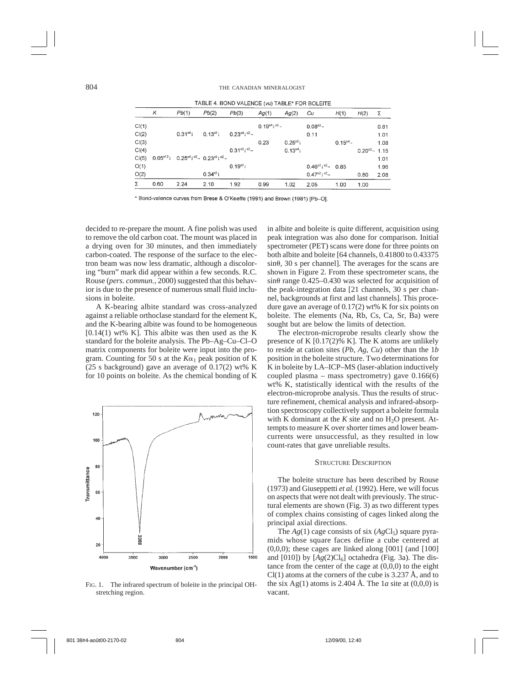| INDEE 4. DOND VALCINGE (VII) INDEE FOR BOLETIE |      |                                                                    |             |                   |                   |             |                                   |             |                    |      |
|------------------------------------------------|------|--------------------------------------------------------------------|-------------|-------------------|-------------------|-------------|-----------------------------------|-------------|--------------------|------|
|                                                | κ    | Pb(1)                                                              | Pb(2)       | Pb(3)             | Ag(1)             | Ag(2)       | Cu                                | H(1)        | H(2)               | Σ    |
| Cl(1)                                          |      |                                                                    |             |                   | $0.19^{x4}1^{x3}$ |             | $0.08^{3}$ -                      |             |                    | 0.81 |
| Cl(2)                                          |      | $0.31^{x4}1$                                                       | $0.13^{3}$  | $0.23^{x4}1^{x2}$ |                   |             | 0.11                              |             |                    | 1.01 |
| Cl(3)                                          |      |                                                                    |             |                   | 0.23              | $0.25^{22}$ |                                   | $0.15^{x4}$ |                    | 1.08 |
| Cl(4)                                          |      |                                                                    |             | $0.31^{x2}1^{x2}$ |                   | $0.13^{x4}$ |                                   |             | $0.20^{x2} - 1.15$ |      |
| Cl(5)                                          |      | $0.05^{x12}$ $0.25^{x4}$ $^{x2}$ $0.23^{x3}$ $^{x2}$ $\rightarrow$ |             |                   |                   |             |                                   |             |                    | 1.01 |
| O(1)                                           |      |                                                                    |             | $0.19^{21}$       |                   |             | $0.46^{21}$ $^{12}$ $-$ 0.85      |             |                    | 1.96 |
| O(2)                                           |      |                                                                    | $0.34^{*3}$ |                   |                   |             | $0.47^{21}$ $^{12}$ $\rightarrow$ |             | 0.80               | 2.08 |
| Σ                                              | 0.60 | 2.24                                                               | 2.10        | 1.92              | 0.99              | 1.02        | 2.05                              | 1.00        | 1.00               |      |

TADLE A DOND VALENCE (44) TADLET FOR DOLEITE

\* Bond-valence curves from Brese & O'Keeffe (1991) and Brown (1981) [Pb-O].

decided to re-prepare the mount. A fine polish was used to remove the old carbon coat. The mount was placed in a drying oven for 30 minutes, and then immediately carbon-coated. The response of the surface to the electron beam was now less dramatic, although a discoloring "burn" mark did appear within a few seconds. R.C. Rouse (*pers. commun.*, 2000) suggested that this behavior is due to the presence of numerous small fluid inclusions in boleite.

A K-bearing albite standard was cross-analyzed against a reliable orthoclase standard for the element K, and the K-bearing albite was found to be homogeneous  $[0.14(1)$  wt% K]. This albite was then used as the K standard for the boleite analysis. The Pb–Ag–Cu–Cl–O matrix components for boleite were input into the program. Counting for 50 s at the  $K\alpha_1$  peak position of K (25 s background) gave an average of 0.17(2) wt% K for 10 points on boleite. As the chemical bonding of K



FIG. 1. The infrared spectrum of boleite in the principal OHstretching region.

in albite and boleite is quite different, acquisition using peak integration was also done for comparison. Initial spectrometer (PET) scans were done for three points on both albite and boleite [64 channels, 0.41800 to 0.43375  $\sin\theta$ , 30 s per channel]. The averages for the scans are shown in Figure 2. From these spectrometer scans, the  $\sin\theta$  range 0.425–0.430 was selected for acquisition of the peak-integration data [21 channels, 30 s per channel, backgrounds at first and last channels]. This procedure gave an average of 0.17(2) wt% K for six points on boleite. The elements (Na, Rb, Cs, Ca, Sr, Ba) were sought but are below the limits of detection.

The electron-microprobe results clearly show the presence of K [0.17(2)% K]. The K atoms are unlikely to reside at cation sites (*Pb*, *Ag*, *Cu*) other than the 1*b* position in the boleite structure. Two determinations for K in boleite by LA–ICP–MS (laser-ablation inductively coupled plasma – mass spectrometry) gave 0.166(6) wt% K, statistically identical with the results of the electron-microprobe analysis. Thus the results of structure refinement, chemical analysis and infrared-absorption spectroscopy collectively support a boleite formula with K dominant at the  $K$  site and no  $H_2O$  present. Attempts to measure K over shorter times and lower beamcurrents were unsuccessful, as they resulted in low count-rates that gave unreliable results.

#### STRUCTURE DESCRIPTION

The boleite structure has been described by Rouse (1973) and Giuseppetti *et al.* (1992). Here, we will focus on aspects that were not dealt with previously. The structural elements are shown (Fig. 3) as two different types of complex chains consisting of cages linked along the principal axial directions.

The  $Ag(1)$  cage consists of six  $(AgCl<sub>5</sub>)$  square pyramids whose square faces define a cube centered at  $(0,0,0)$ ; these cages are linked along  $[001]$  (and  $[100]$ ) and  $[010]$ ) by  $[Ag(2)Cl_6]$  octahedra (Fig. 3a). The distance from the center of the cage at  $(0,0,0)$  to the eight  $Cl(1)$  atoms at the corners of the cube is 3.237 Å, and to the six Ag(1) atoms is 2.404 Å. The 1*a* site at  $(0,0,0)$  is vacant.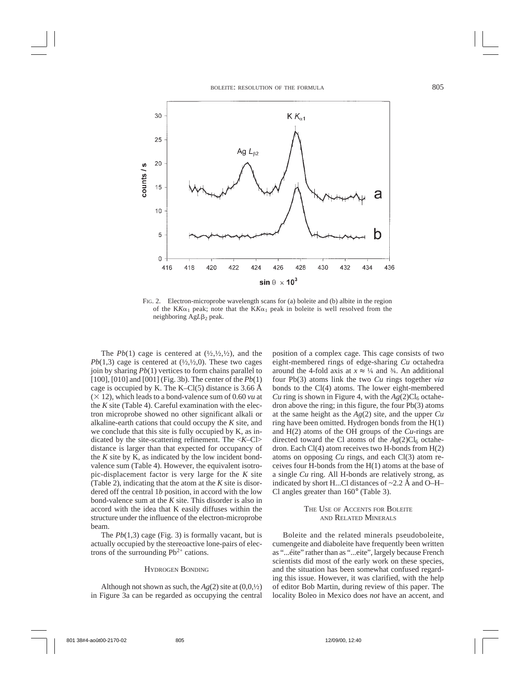

FIG. 2. Electron-microprobe wavelength scans for (a) boleite and (b) albite in the region of the KK $\alpha_1$  peak; note that the KK $\alpha_1$  peak in boleite is well resolved from the neighboring AgL<sub>B2</sub> peak.

The  $Pb(1)$  cage is centered at  $(\frac{1}{2}, \frac{1}{2}, \frac{1}{2})$ , and the *Pb*(1,3) cage is centered at  $(\frac{1}{2}, \frac{1}{2}, 0)$ . These two cages join by sharing *Pb*(1) vertices to form chains parallel to [100], [010] and [001] (Fig. 3b). The center of the *Pb*(1) cage is occupied by K. The K–Cl(5) distance is 3.66 Å  $(\times 12)$ , which leads to a bond-valence sum of 0.60 *vu* at the *K* site (Table 4). Careful examination with the electron microprobe showed no other significant alkali or alkaline-earth cations that could occupy the *K* site, and we conclude that this site is fully occupied by K, as indicated by the site-scattering refinement. The <*K*–Cl> distance is larger than that expected for occupancy of the *K* site by K, as indicated by the low incident bondvalence sum (Table 4). However, the equivalent isotropic-displacement factor is very large for the *K* site (Table 2), indicating that the atom at the *K* site is disordered off the central 1*b* position, in accord with the low bond-valence sum at the *K* site. This disorder is also in accord with the idea that K easily diffuses within the structure under the influence of the electron-microprobe beam.

The *Pb*(1,3) cage (Fig. 3) is formally vacant, but is actually occupied by the stereoactive lone-pairs of electrons of the surrounding  $Pb^{2+}$  cations.

### HYDROGEN BONDING

Although not shown as such, the  $Ag(2)$  site at  $(0,0,1/2)$ in Figure 3a can be regarded as occupying the central

position of a complex cage. This cage consists of two eight-membered rings of edge-sharing *Cu* octahedra around the 4-fold axis at  $x \approx \frac{1}{4}$  and  $\frac{3}{4}$ . An additional four Pb(3) atoms link the two *Cu* rings together *via* bonds to the Cl(4) atoms. The lower eight-membered *Cu* ring is shown in Figure 4, with the  $Ag(2)Cl_6$  octahedron above the ring; in this figure, the four Pb(3) atoms at the same height as the *Ag*(2) site, and the upper *Cu* ring have been omitted. Hydrogen bonds from the H(1) and H(2) atoms of the OH groups of the *Cu*-rings are directed toward the Cl atoms of the  $Ag(2)Cl_6$  octahedron. Each Cl(4) atom receives two H-bonds from H(2) atoms on opposing *Cu* rings, and each Cl(3) atom receives four H-bonds from the H(1) atoms at the base of a single *Cu* ring. All H-bonds are relatively strong, as indicated by short H...Cl distances of ~2.2 Å and O–H– Cl angles greater than 160° (Table 3).

#### THE USE OF ACCENTS FOR BOLEITE AND RELATED MINERALS

Boleite and the related minerals pseudoboleite, cumengeite and diaboleite have frequently been written as "...éite" rather than as "...eite", largely because French scientists did most of the early work on these species, and the situation has been somewhat confused regarding this issue. However, it was clarified, with the help of editor Bob Martin, during review of this paper. The locality Boleo in Mexico does *not* have an accent, and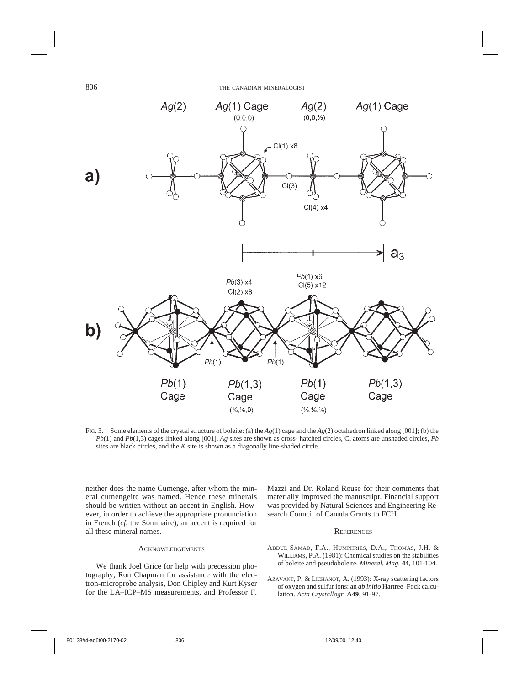

FIG. 3. Some elements of the crystal structure of boleite: (a) the *Ag*(1) cage and the *Ag*(2) octahedron linked along [001]; (b) the *Pb*(1) and *Pb*(1,3) cages linked along [001]. *Ag* sites are shown as cross- hatched circles, Cl atoms are unshaded circles, *Pb* sites are black circles, and the *K* site is shown as a diagonally line-shaded circle.

neither does the name Cumenge, after whom the mineral cumengeite was named. Hence these minerals should be written without an accent in English. However, in order to achieve the appropriate pronunciation in French (*cf.* the Sommaire), an accent is required for all these mineral names.

### ACKNOWLEDGEMENTS

We thank Joel Grice for help with precession photography, Ron Chapman for assistance with the electron-microprobe analysis, Don Chipley and Kurt Kyser for the LA–ICP–MS measurements, and Professor F. Mazzi and Dr. Roland Rouse for their comments that materially improved the manuscript. Financial support was provided by Natural Sciences and Engineering Research Council of Canada Grants to FCH.

### **REFERENCES**

- ABDUL-SAMAD, F.A., HUMPHRIES, D.A., THOMAS, J.H. & WILLIAMS, P.A. (1981): Chemical studies on the stabilities of boleite and pseudoboleite. *Mineral. Mag.* **44**, 101-104.
- AZAVANT, P. & LICHANOT, A. (1993): X-ray scattering factors of oxygen and sulfur ions: an *ab initio* Hartree–Fock calculation. *Acta Crystallogr.* **A49**, 91-97.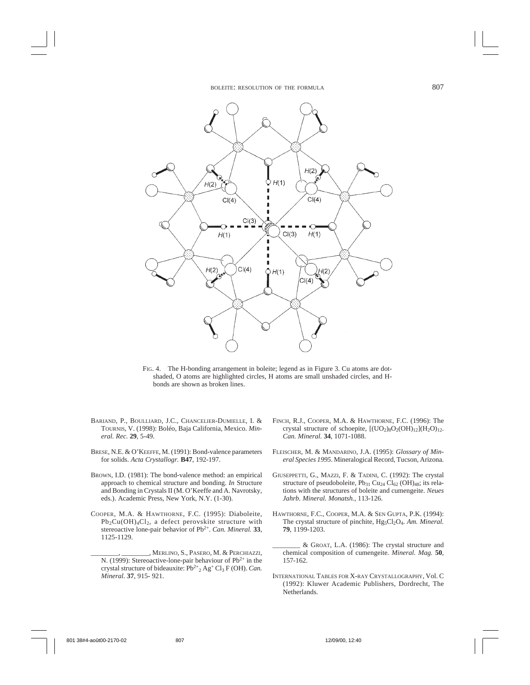

FIG. 4. The H-bonding arrangement in boleite; legend as in Figure 3. Cu atoms are dotshaded, O atoms are highlighted circles, H atoms are small unshaded circles, and Hbonds are shown as broken lines.

- BARIAND, P., BOULLIARD, J.C., CHANCELIER-DUMIELLE, I. & TOURNIS, V. (1998): Boléo, Baja California, Mexico. *Mineral. Rec.* **29**, 5-49.
- BRESE, N.E. & O'KEEFFE, M. (1991): Bond-valence parameters for solids. *Acta Crystallogr.* **B47**, 192-197.
- BROWN, I.D. (1981): The bond-valence method: an empirical approach to chemical structure and bonding. *In* Structure and Bonding in Crystals II (M. O'Keeffe and A. Navrotsky, eds.). Academic Press, New York, N.Y. (1-30).
- COOPER, M.A. & HAWTHORNE, F.C. (1995): Diaboleite,  $Pb_2Cu(OH)_4Cl_2$ , a defect perovskite structure with stereoactive lone-pair behavior of Pb2+. *Can. Mineral.* **33**, 1125-1129.
	- \_\_\_\_\_\_\_\_, \_\_\_\_\_\_\_\_, MERLINO, S., PASERO, M. & PERCHIAZZI, N. (1999): Stereoactive-lone-pair behaviour of  $Pb^{2+}$  in the crystal structure of bideauxite:  $Pb^{2+}$ <sub>2</sub> Ag<sup>+</sup> Cl<sub>3</sub> F (OH). *Can*. *Mineral.* **37**, 915- 921.
- FINCH, R.J., COOPER, M.A. & HAWTHORNE, F.C. (1996): The crystal structure of schoepite,  $[(UO<sub>2</sub>)<sub>8</sub>O<sub>2</sub>(OH)<sub>12</sub>](H<sub>2</sub>O)<sub>12</sub>$ . *Can. Mineral.* **34**, 1071-1088.
- FLEISCHER, M. & MANDARINO, J.A. (1995): *Glossary of Mineral Species 1995*. Mineralogical Record, Tucson, Arizona.
- GIUSEPPETTI, G., MAZZI, F. & TADINI, C. (1992): The crystal structure of pseudoboleite,  $Pb_{31} Cu_{24} Cl_{62} (OH)_{48}$ ; its relations with the structures of boleite and cumengeite. *Neues Jahrb. Mineral. Monatsh.*, 113-126.
- HAWTHORNE, F.C., COOPER, M.A. & SEN GUPTA, P.K. (1994): The crystal structure of pinchite, Hg<sub>5</sub>Cl<sub>2</sub>O<sub>4</sub>. *Am. Mineral.* **79**, 1199-1203.
- \_\_\_\_\_\_\_\_ & GROAT, L.A. (1986): The crystal structure and chemical composition of cumengeite. *Mineral. Mag.* **50**, 157-162.
- INTERNATIONAL TABLES FOR X-RAY CRYSTALLOGRAPHY, Vol. C (1992): Kluwer Academic Publishers, Dordrecht, The Netherlands.